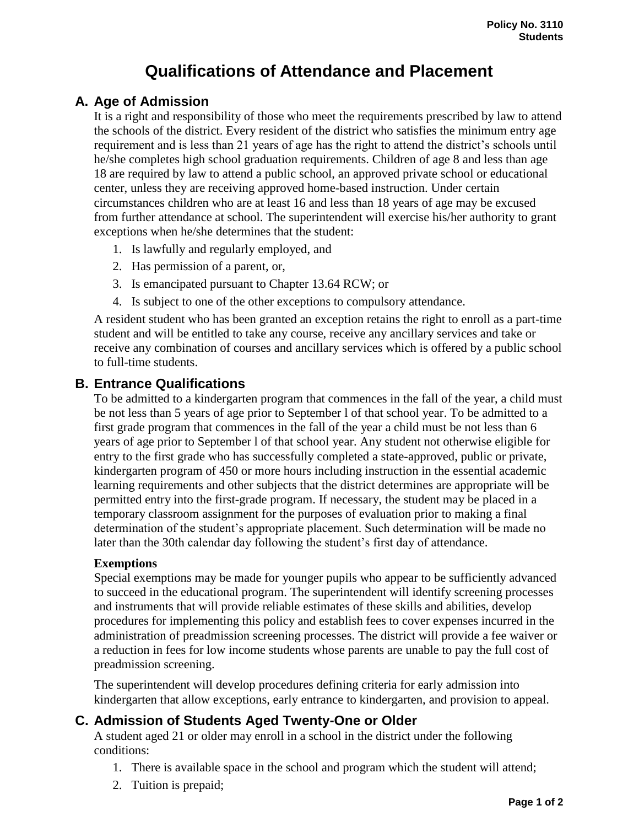# **Qualifications of Attendance and Placement**

# **A. Age of Admission**

It is a right and responsibility of those who meet the requirements prescribed by law to attend the schools of the district. Every resident of the district who satisfies the minimum entry age requirement and is less than 21 years of age has the right to attend the district's schools until he/she completes high school graduation requirements. Children of age 8 and less than age 18 are required by law to attend a public school, an approved private school or educational center, unless they are receiving approved home-based instruction. Under certain circumstances children who are at least 16 and less than 18 years of age may be excused from further attendance at school. The superintendent will exercise his/her authority to grant exceptions when he/she determines that the student:

- 1. Is lawfully and regularly employed, and
- 2. Has permission of a parent, or,
- 3. Is emancipated pursuant to Chapter 13.64 RCW; or
- 4. Is subject to one of the other exceptions to compulsory attendance.

A resident student who has been granted an exception retains the right to enroll as a part-time student and will be entitled to take any course, receive any ancillary services and take or receive any combination of courses and ancillary services which is offered by a public school to full-time students.

## **B. Entrance Qualifications**

To be admitted to a kindergarten program that commences in the fall of the year, a child must be not less than 5 years of age prior to September l of that school year. To be admitted to a first grade program that commences in the fall of the year a child must be not less than 6 years of age prior to September l of that school year. Any student not otherwise eligible for entry to the first grade who has successfully completed a state-approved, public or private, kindergarten program of 450 or more hours including instruction in the essential academic learning requirements and other subjects that the district determines are appropriate will be permitted entry into the first-grade program. If necessary, the student may be placed in a temporary classroom assignment for the purposes of evaluation prior to making a final determination of the student's appropriate placement. Such determination will be made no later than the 30th calendar day following the student's first day of attendance.

#### **Exemptions**

Special exemptions may be made for younger pupils who appear to be sufficiently advanced to succeed in the educational program. The superintendent will identify screening processes and instruments that will provide reliable estimates of these skills and abilities, develop procedures for implementing this policy and establish fees to cover expenses incurred in the administration of preadmission screening processes. The district will provide a fee waiver or a reduction in fees for low income students whose parents are unable to pay the full cost of preadmission screening.

The superintendent will develop procedures defining criteria for early admission into kindergarten that allow exceptions, early entrance to kindergarten, and provision to appeal.

## **C. Admission of Students Aged Twenty-One or Older**

A student aged 21 or older may enroll in a school in the district under the following conditions:

- 1. There is available space in the school and program which the student will attend;
- 2. Tuition is prepaid;